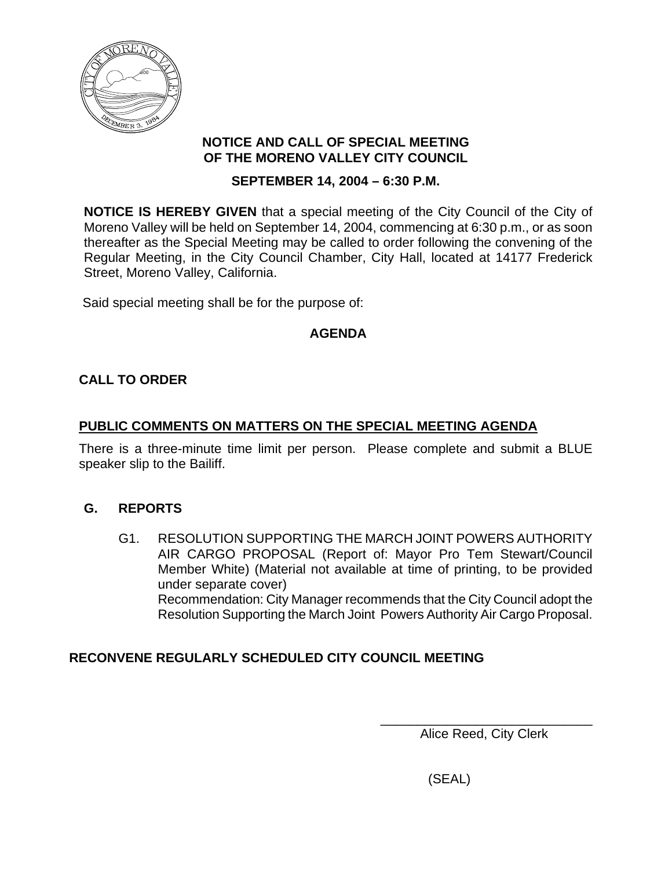

#### **NOTICE AND CALL OF SPECIAL MEETING OF THE MORENO VALLEY CITY COUNCIL**

### **SEPTEMBER 14, 2004 – 6:30 P.M.**

**NOTICE IS HEREBY GIVEN** that a special meeting of the City Council of the City of Moreno Valley will be held on September 14, 2004, commencing at 6:30 p.m., or as soon thereafter as the Special Meeting may be called to order following the convening of the Regular Meeting, in the City Council Chamber, City Hall, located at 14177 Frederick Street, Moreno Valley, California.

Said special meeting shall be for the purpose of:

## **AGENDA**

## **CALL TO ORDER**

## **PUBLIC COMMENTS ON MATTERS ON THE SPECIAL MEETING AGENDA**

There is a three-minute time limit per person. Please complete and submit a BLUE speaker slip to the Bailiff.

### **G. REPORTS**

G1. RESOLUTION SUPPORTING THE MARCH JOINT POWERS AUTHORITY AIR CARGO PROPOSAL (Report of: Mayor Pro Tem Stewart/Council Member White) (Material not available at time of printing, to be provided under separate cover) Recommendation: City Manager recommends that the City Council adopt the Resolution Supporting the March Joint Powers Authority Air Cargo Proposal.

# **RECONVENE REGULARLY SCHEDULED CITY COUNCIL MEETING**

 $\frac{1}{2}$  ,  $\frac{1}{2}$  ,  $\frac{1}{2}$  ,  $\frac{1}{2}$  ,  $\frac{1}{2}$  ,  $\frac{1}{2}$  ,  $\frac{1}{2}$  ,  $\frac{1}{2}$  ,  $\frac{1}{2}$  ,  $\frac{1}{2}$  ,  $\frac{1}{2}$  ,  $\frac{1}{2}$  ,  $\frac{1}{2}$  ,  $\frac{1}{2}$  ,  $\frac{1}{2}$  ,  $\frac{1}{2}$  ,  $\frac{1}{2}$  ,  $\frac{1}{2}$  ,  $\frac{1$ Alice Reed, City Clerk

(SEAL)